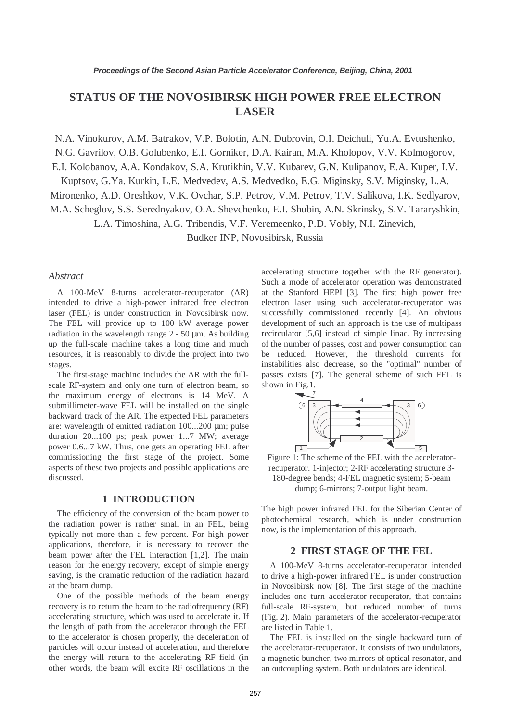# **STATUS OF THE NOVOSIBIRSK HIGH POWER FREE ELECTRON LASER**

N.A. Vinokurov, A.M. Batrakov, V.P. Bolotin, A.N. Dubrovin, O.I. Deichuli, Yu.A. Evtushenko,

N.G. Gavrilov, O.B. Golubenko, E.I. Gorniker, D.A. Kairan, M.A. Kholopov, V.V. Kolmogorov,

E.I. Kolobanov, A.A. Kondakov, S.A. Krutikhin, V.V. Kubarev, G.N. Kulipanov, E.A. Kuper, I.V.

Kuptsov, G.Ya. Kurkin, L.E. Medvedev, A.S. Medvedko, E.G. Miginsky, S.V. Miginsky, L.A.

Mironenko, A.D. Oreshkov, V.K. Ovchar, S.P. Petrov, V.M. Petrov, T.V. Salikova, I.K. Sedlyarov,

M.A. Scheglov, S.S. Serednyakov, O.A. Shevchenko, E.I. Shubin, A.N. Skrinsky, S.V. Tararyshkin,

L.A. Timoshina, A.G. Tribendis, V.F. Veremeenko, P.D. Vobly, N.I. Zinevich,

Budker INP, Novosibirsk, Russia

#### *Abstract*

A 100-MeV 8-turns accelerator-recuperator (AR) intended to drive a high-power infrared free electron laser (FEL) is under construction in Novosibirsk now. The FEL will provide up to 100 kW average power radiation in the wavelength range  $2 - 50 \mu m$ . As building up the full-scale machine takes a long time and much resources, it is reasonably to divide the project into two stages.

The first-stage machine includes the AR with the fullscale RF-system and only one turn of electron beam, so the maximum energy of electrons is 14 MeV. A submillimeter-wave FEL will be installed on the single backward track of the AR. The expected FEL parameters are: wavelength of emitted radiation 100...200 µm; pulse duration 20...100 ps; peak power 1...7 MW; average power 0.6...7 kW. Thus, one gets an operating FEL after commissioning the first stage of the project. Some aspects of these two projects and possible applications are discussed.

## **1 INTRODUCTION**

The efficiency of the conversion of the beam power to the radiation power is rather small in an FEL, being typically not more than a few percent. For high power applications, therefore, it is necessary to recover the beam power after the FEL interaction [1,2]. The main reason for the energy recovery, except of simple energy saving, is the dramatic reduction of the radiation hazard at the beam dump.

One of the possible methods of the beam energy recovery is to return the beam to the radiofrequency (RF) accelerating structure, which was used to accelerate it. If the length of path from the accelerator through the FEL to the accelerator is chosen properly, the deceleration of particles will occur instead of acceleration, and therefore the energy will return to the accelerating RF field (in other words, the beam will excite RF oscillations in the accelerating structure together with the RF generator). Such a mode of accelerator operation was demonstrated at the Stanford HEPL [3]. The first high power free electron laser using such accelerator-recuperator was successfully commissioned recently [4]. An obvious development of such an approach is the use of multipass recirculator [5,6] instead of simple linac. By increasing of the number of passes, cost and power consumption can be reduced. However, the threshold currents for instabilities also decrease, so the "optimal" number of passes exists [7]. The general scheme of such FEL is shown in Fig.1.



Figure 1: The scheme of the FEL with the acceleratorrecuperator. 1-injector; 2-RF accelerating structure 3- 180-degree bends; 4-FEL magnetic system; 5-beam dump; 6-mirrors; 7-output light beam.

The high power infrared FEL for the Siberian Center of photochemical research, which is under construction now, is the implementation of this approach.

## **2 FIRST STAGE OF THE FEL**

A 100-MeV 8-turns accelerator-recuperator intended to drive a high-power infrared FEL is under construction in Novosibirsk now [8]. The first stage of the machine includes one turn accelerator-recuperator, that contains full-scale RF-system, but reduced number of turns (Fig. 2). Main parameters of the accelerator-recuperator are listed in Table 1.

The FEL is installed on the single backward turn of the accelerator-recuperator. It consists of two undulators, a magnetic buncher, two mirrors of optical resonator, and an outcoupling system. Both undulators are identical.